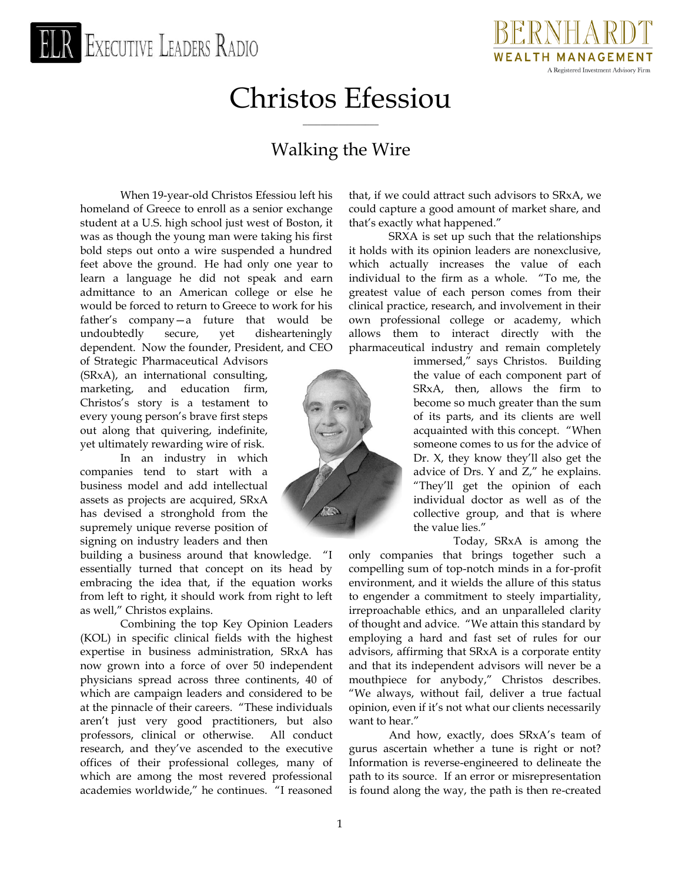# EXECUTIVE LEADERS RADIO



# Christos Efessiou

 $\overline{\phantom{a}}$  , where  $\overline{\phantom{a}}$ 

## Walking the Wire

When 19-year-old Christos Efessiou left his homeland of Greece to enroll as a senior exchange student at a U.S. high school just west of Boston, it was as though the young man were taking his first bold steps out onto a wire suspended a hundred feet above the ground. He had only one year to learn a language he did not speak and earn admittance to an American college or else he would be forced to return to Greece to work for his father's company—a future that would be undoubtedly secure, yet dishearteningly dependent. Now the founder, President, and CEO

of Strategic Pharmaceutical Advisors (SRxA), an international consulting, marketing, and education firm, Christos's story is a testament to every young person's brave first steps out along that quivering, indefinite, yet ultimately rewarding wire of risk.

In an industry in which companies tend to start with a business model and add intellectual assets as projects are acquired, SRxA has devised a stronghold from the supremely unique reverse position of signing on industry leaders and then

building a business around that knowledge. "I essentially turned that concept on its head by embracing the idea that, if the equation works from left to right, it should work from right to left as well," Christos explains.

Combining the top Key Opinion Leaders (KOL) in specific clinical fields with the highest expertise in business administration, SRxA has now grown into a force of over 50 independent physicians spread across three continents, 40 of which are campaign leaders and considered to be at the pinnacle of their careers. "These individuals aren't just very good practitioners, but also professors, clinical or otherwise. All conduct research, and they've ascended to the executive offices of their professional colleges, many of which are among the most revered professional academies worldwide," he continues. "I reasoned

that, if we could attract such advisors to SRxA, we could capture a good amount of market share, and that's exactly what happened."

SRXA is set up such that the relationships it holds with its opinion leaders are nonexclusive, which actually increases the value of each individual to the firm as a whole. "To me, the greatest value of each person comes from their clinical practice, research, and involvement in their own professional college or academy, which allows them to interact directly with the pharmaceutical industry and remain completely

> immersed," says Christos. Building the value of each component part of SRxA, then, allows the firm to become so much greater than the sum of its parts, and its clients are well acquainted with this concept. "When someone comes to us for the advice of Dr. X, they know they'll also get the advice of Drs. Y and Z," he explains. "They'll get the opinion of each individual doctor as well as of the collective group, and that is where the value lies."

> > Today, SRxA is among the

only companies that brings together such a compelling sum of top-notch minds in a for-profit environment, and it wields the allure of this status to engender a commitment to steely impartiality, irreproachable ethics, and an unparalleled clarity of thought and advice. "We attain this standard by employing a hard and fast set of rules for our advisors, affirming that SRxA is a corporate entity and that its independent advisors will never be a mouthpiece for anybody," Christos describes. "We always, without fail, deliver a true factual opinion, even if it's not what our clients necessarily want to hear."

And how, exactly, does SRxA's team of gurus ascertain whether a tune is right or not? Information is reverse-engineered to delineate the path to its source. If an error or misrepresentation is found along the way, the path is then re-created

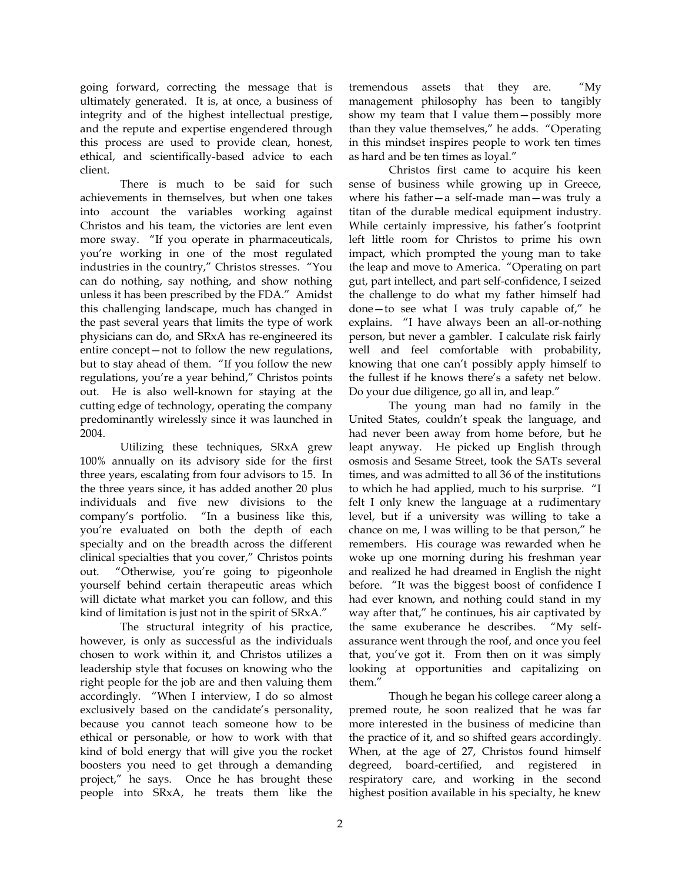going forward, correcting the message that is ultimately generated. It is, at once, a business of integrity and of the highest intellectual prestige, and the repute and expertise engendered through this process are used to provide clean, honest, ethical, and scientifically-based advice to each client.

There is much to be said for such achievements in themselves, but when one takes into account the variables working against Christos and his team, the victories are lent even more sway. "If you operate in pharmaceuticals, you're working in one of the most regulated industries in the country," Christos stresses. "You can do nothing, say nothing, and show nothing unless it has been prescribed by the FDA." Amidst this challenging landscape, much has changed in the past several years that limits the type of work physicians can do, and SRxA has re-engineered its entire concept—not to follow the new regulations, but to stay ahead of them. "If you follow the new regulations, you're a year behind," Christos points out. He is also well-known for staying at the cutting edge of technology, operating the company predominantly wirelessly since it was launched in 2004.

Utilizing these techniques, SRxA grew 100% annually on its advisory side for the first three years, escalating from four advisors to 15. In the three years since, it has added another 20 plus individuals and five new divisions to the company's portfolio. "In a business like this, you're evaluated on both the depth of each specialty and on the breadth across the different clinical specialties that you cover," Christos points out. "Otherwise, you're going to pigeonhole yourself behind certain therapeutic areas which will dictate what market you can follow, and this kind of limitation is just not in the spirit of SRxA."

The structural integrity of his practice, however, is only as successful as the individuals chosen to work within it, and Christos utilizes a leadership style that focuses on knowing who the right people for the job are and then valuing them accordingly. "When I interview, I do so almost exclusively based on the candidate's personality, because you cannot teach someone how to be ethical or personable, or how to work with that kind of bold energy that will give you the rocket boosters you need to get through a demanding project," he says. Once he has brought these people into SRxA, he treats them like the tremendous assets that they are. "My management philosophy has been to tangibly show my team that I value them—possibly more than they value themselves," he adds. "Operating in this mindset inspires people to work ten times as hard and be ten times as loyal."

Christos first came to acquire his keen sense of business while growing up in Greece, where his father—a self-made man—was truly a titan of the durable medical equipment industry. While certainly impressive, his father's footprint left little room for Christos to prime his own impact, which prompted the young man to take the leap and move to America. "Operating on part gut, part intellect, and part self-confidence, I seized the challenge to do what my father himself had done—to see what I was truly capable of," he explains. "I have always been an all-or-nothing person, but never a gambler. I calculate risk fairly well and feel comfortable with probability, knowing that one can't possibly apply himself to the fullest if he knows there's a safety net below. Do your due diligence, go all in, and leap."

The young man had no family in the United States, couldn't speak the language, and had never been away from home before, but he leapt anyway. He picked up English through osmosis and Sesame Street, took the SATs several times, and was admitted to all 36 of the institutions to which he had applied, much to his surprise. "I felt I only knew the language at a rudimentary level, but if a university was willing to take a chance on me, I was willing to be that person," he remembers. His courage was rewarded when he woke up one morning during his freshman year and realized he had dreamed in English the night before. "It was the biggest boost of confidence I had ever known, and nothing could stand in my way after that," he continues, his air captivated by the same exuberance he describes. "My selfassurance went through the roof, and once you feel that, you've got it. From then on it was simply looking at opportunities and capitalizing on them."

Though he began his college career along a premed route, he soon realized that he was far more interested in the business of medicine than the practice of it, and so shifted gears accordingly. When, at the age of 27, Christos found himself degreed, board-certified, and registered in respiratory care, and working in the second highest position available in his specialty, he knew